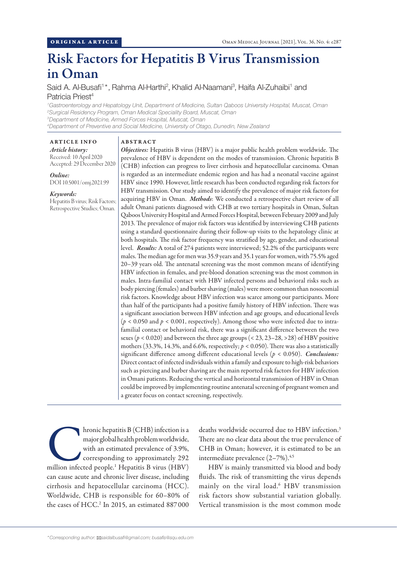# Risk Factors for Hepatitis B Virus Transmission in Oman

Said A. Al-Busafi<sup>1\*</sup>, Rahma Al-Harthi<sup>2</sup>, Khalid Al-Naamani<sup>3</sup>, Haifa Al-Zuhaibi<sup>1</sup> and Patricia Priest<sup>4</sup>

 *Gastroenterology and Hepatology Unit, Department of Medicine, Sultan Qaboos University Hospital, Muscat, Oman Surgical Residency Program, Oman Medical Speciality Board, Muscat, Oman Department of Medicine, Armed Forces Hospital, Muscat, Oman Department of Preventive and Social Medicine, University of Otago, Dunedin, New Zealand*

ABSTRACT

*Article history:* Received: 10 April 2020 Accepted: 29 December 2020

ARTICLE INFO

*Online:* DOI 10.5001/omj.2021.99

### *Keywords:*

Hepatitis B virus; Risk Factors; Retrospective Studies; Oman.

*Objectives:* Hepatitis B virus (HBV) is a major public health problem worldwide. The prevalence of HBV is dependent on the modes of transmission. Chronic hepatitis B (CHB) infection can progress to liver cirrhosis and hepatocellular carcinoma. Oman is regarded as an intermediate endemic region and has had a neonatal vaccine against HBV since 1990. However, little research has been conducted regarding risk factors for HBV transmission. Our study aimed to identify the prevalence of major risk factors for acquiring HBV in Oman. *Methods*: We conducted a retrospective chart review of all adult Omani patients diagnosed with CHB at two tertiary hospitals in Oman, Sultan Qaboos University Hospital and Armed Forces Hospital, between February 2009 and July 2013. The prevalence of major risk factors was identified by interviewing CHB patients using a standard questionnaire during their follow-up visits to the hepatology clinic at both hospitals. The risk factor frequency was stratified by age, gender, and educational level. *Results:* A total of 274 patients were interviewed; 52.2% of the participants were males. The median age for men was 35.9 years and 35.1 years for women, with 75.5% aged 20–39 years old. The antenatal screening was the most common means of identifying HBV infection in females, and pre-blood donation screening was the most common in males. Intra-familial contact with HBV infected persons and behavioral risks such as body piercing (females) and barber shaving (males) were more common than nosocomial risk factors. Knowledge about HBV infection was scarce among our participants. More than half of the participants had a positive family history of HBV infection. There was a significant association between HBV infection and age groups, and educational levels  $(p < 0.050$  and  $p < 0.001$ , respectively). Among those who were infected due to intrafamilial contact or behavioral risk, there was a significant difference between the two sexes  $(p < 0.020)$  and between the three age groups  $(< 23, 23-28, > 28)$  of HBV positive mothers (33.3%, 14.3%, and 6.6%, respectively; *p* < 0.050). There was also a statistically significant difference among different educational levels (*p* < 0.050). *Conclusions:* Direct contact of infected individuals within a family and exposure to high-risk behaviors such as piercing and barber shaving are the main reported risk factors for HBV infection in Omani patients. Reducing the vertical and horizontal transmission of HBV in Oman could be improved by implementing routine antenatal screening of pregnant women and a greater focus on contact screening, respectively.

hronic hepatitis B (CHB) infection is a<br>
major global health problem worldwide,<br>
with an estimated prevalence of 3.9%,<br>
corresponding to approximately 292<br>
million infected people.<sup>1</sup> Hepatitis B virus (HBV) major global health problem worldwide, with an estimated prevalence of 3.9%, corresponding to approximately 292 can cause acute and chronic liver disease, including cirrhosis and hepatocellular carcinoma (HCC). Worldwide, CHB is responsible for 60–80% of the cases of HCC.<sup>2</sup> In 2015, an estimated 887000

deaths worldwide occurred due to HBV infection.<sup>3</sup> There are no clear data about the true prevalence of CHB in Oman; however, it is estimated to be an intermediate prevalence (2-7%).<sup>4,5</sup>

HBV is mainly transmitted via blood and body fluids. The risk of transmitting the virus depends mainly on the viral load.6 HBV transmission risk factors show substantial variation globally. Vertical transmission is the most common mode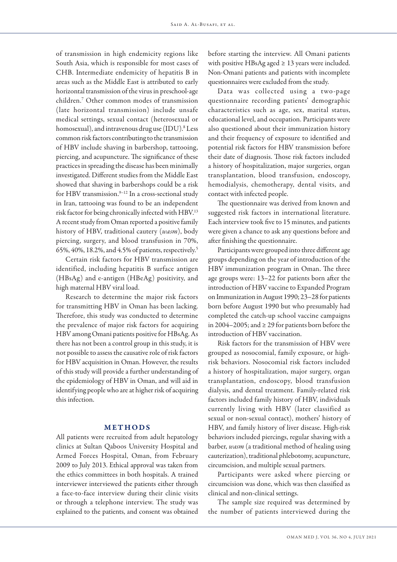of transmission in high endemicity regions like South Asia, which is responsible for most cases of CHB. Intermediate endemicity of hepatitis B in areas such as the Middle East is attributed to early horizontal transmission of the virus in preschool-age children.7 Other common modes of transmission (late horizontal transmission) include unsafe medical settings, sexual contact (heterosexual or homosexual), and intravenous drug use (IDU).<sup>8</sup> Less common risk factors contributing to the transmission of HBV include shaving in barbershop, tattooing, piercing, and acupuncture. The significance of these practices in spreading the disease has been minimally investigated. Different studies from the Middle East showed that shaving in barbershops could be a risk for HBV transmission.<sup>9-12</sup> In a cross-sectional study in Iran, tattooing was found to be an independent risk factor for being chronically infected with HBV.13 A recent study from Oman reported a positive family history of HBV, traditional cautery (*wasm*), body piercing, surgery, and blood transfusion in 70%, 65%, 40%, 18.2%, and 4.5% of patients, respectively.5

Certain risk factors for HBV transmission are identified, including hepatitis B surface antigen (HBsAg) and e-antigen (HBeAg) positivity, and high maternal HBV viral load.

Research to determine the major risk factors for transmitting HBV in Oman has been lacking. Therefore, this study was conducted to determine the prevalence of major risk factors for acquiring HBV among Omani patients positive for HBsAg. As there has not been a control group in this study, it is not possible to assess the causative role of risk factors for HBV acquisition in Oman. However, the results of this study will provide a further understanding of the epidemiology of HBV in Oman, and will aid in identifying people who are at higher risk of acquiring this infection.

# METHODS

All patients were recruited from adult hepatology clinics at Sultan Qaboos University Hospital and Armed Forces Hospital, Oman, from February 2009 to July 2013. Ethical approval was taken from the ethics committees in both hospitals. A trained interviewer interviewed the patients either through a face-to-face interview during their clinic visits or through a telephone interview. The study was explained to the patients, and consent was obtained before starting the interview. All Omani patients with positive HBsAg aged  $\geq$  13 years were included. Non-Omani patients and patients with incomplete questionnaires were excluded from the study.

Data was collected using a two -page questionnaire recording patients' demographic characteristics such as age, sex, marital status, educational level, and occupation. Participants were also questioned about their immunization history and their frequency of exposure to identified and potential risk factors for HBV transmission before their date of diagnosis. Those risk factors included a history of hospitalization, major surgeries, organ transplantation, blood transfusion, endoscopy, hemodialysis, chemotherapy, dental visits, and contact with infected people.

The questionnaire was derived from known and suggested risk factors in international literature. Each interview took five to 15 minutes, and patients were given a chance to ask any questions before and after finishing the questionnaire.

Participants were grouped into three different age groups depending on the year of introduction of the HBV immunization program in Oman. The three age groups were: 13–22 for patients born after the introduction of HBV vaccine to Expanded Program on Immunization in August 1990; 23–28 for patients born before August 1990 but who presumably had completed the catch-up school vaccine campaigns in 2004–2005; and  $\geq$  29 for patients born before the introduction of HBV vaccination.

Risk factors for the transmission of HBV were grouped as nosocomial, family exposure, or highrisk behaviors. Nosocomial risk factors included a history of hospitalization, major surgery, organ transplantation, endoscopy, blood transfusion dialysis, and dental treatment. Family-related risk factors included family history of HBV, individuals currently living with HBV (later classified as sexual or non-sexual contact), mothers' history of HBV, and family history of liver disease. High-risk behaviors included piercings, regular shaving with a barber, *wasm* (a traditional method of healing using cauterization), traditional phlebotomy, acupuncture, circumcision, and multiple sexual partners.

Participants were asked where piercing or circumcision was done, which was then classified as clinical and non-clinical settings.

The sample size required was determined by the number of patients interviewed during the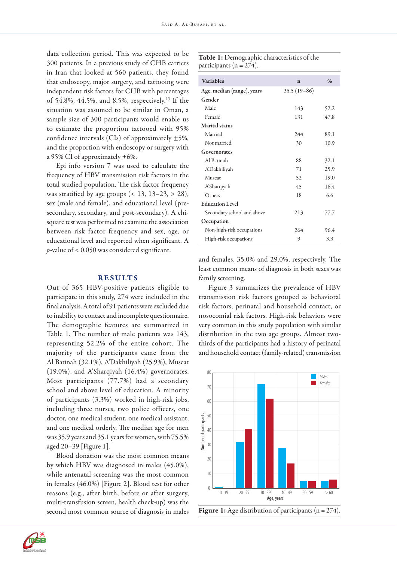data collection period. This was expected to be 300 patients. In a previous study of CHB carriers in Iran that looked at 560 patients, they found that endoscopy, major surgery, and tattooing were independent risk factors for CHB with percentages of 54.8%, 44.5%, and 8.5%, respectively.13 If the situation was assumed to be similar in Oman, a sample size of 300 participants would enable us to estimate the proportion tattooed with 95% confidence intervals (CIs) of approximately  $\pm$ 5%, and the proportion with endoscopy or surgery with a 95% CI of approximately  $\pm 6$ %.

Epi info version 7 was used to calculate the frequency of HBV transmission risk factors in the total studied population. The risk factor frequency was stratified by age groups  $($  < 13, 13–23, > 28), sex (male and female), and educational level (presecondary, secondary, and post-secondary). A chisquare test was performed to examine the association between risk factor frequency and sex, age, or educational level and reported when significant. A *p*-value of < 0.050 was considered significant.

#### RESULTS

Out of 365 HBV-positive patients eligible to participate in this study, 274 were included in the final analysis. A total of 91 patients were excluded due to inability to contact and incomplete questionnaire. The demographic features are summarized in Table 1. The number of male patients was 143, representing 52.2% of the entire cohort. The majority of the participants came from the Al Batinah (32.1%), A'Dakhiliyah (25.9%), Muscat (19.0%), and A'Sharqiyah (16.4%) governorates. Most participants (77.7%) had a secondary school and above level of education. A minority of participants (3.3%) worked in high-risk jobs, including three nurses, two police officers, one doctor, one medical student, one medical assistant, and one medical orderly. The median age for men was 35.9 years and 35.1 years for women, with 75.5% aged 20–39 [Figure 1].

Blood donation was the most common means by which HBV was diagnosed in males (45.0%), while antenatal screening was the most common in females (46.0%) [Figure 2]. Blood test for other reasons (e.g., after birth, before or after surgery, multi-transfusion screen, health check-up) was the second most common source of diagnosis in males

|                             | <b>Table 1:</b> Demographic characteristics of the |
|-----------------------------|----------------------------------------------------|
| participants ( $n = 274$ ). |                                                    |

| <b>Variables</b>           | $\mathbf n$   | $\frac{0}{0}$ |
|----------------------------|---------------|---------------|
| Age, median (range), years | $35.5(19-86)$ |               |
| Gender                     |               |               |
| Male                       | 143           | 52.2          |
| Female                     | 131           | 47.8          |
| <b>Marital</b> status      |               |               |
| Married                    | 244           | 89.1          |
| Not married                | 30            | 10.9          |
| Governorates               |               |               |
| Al Barinah                 | 88            | 32.1          |
| <b>A'Dakhiliyah</b>        | 71            | 25.9          |
| Muscat                     | 52            | 19.0          |
| A'Sharqiyah                | 45            | 16.4          |
| Others                     | 18            | 6.6           |
| <b>Education Level</b>     |               |               |
| Secondary school and above | 213           | 77.7          |
| Occupation                 |               |               |
| Non-high-risk occupations  | 264           | 96.4          |
| High-risk occupations      | 9             | 3.3           |

and females, 35.0% and 29.0%, respectively. The least common means of diagnosis in both sexes was family screening.

Figure 3 summarizes the prevalence of HBV transmission risk factors grouped as behavioral risk factors, perinatal and household contact, or nosocomial risk factors. High-risk behaviors were very common in this study population with similar distribution in the two age groups. Almost twothirds of the participants had a history of perinatal and household contact (family-related) transmission





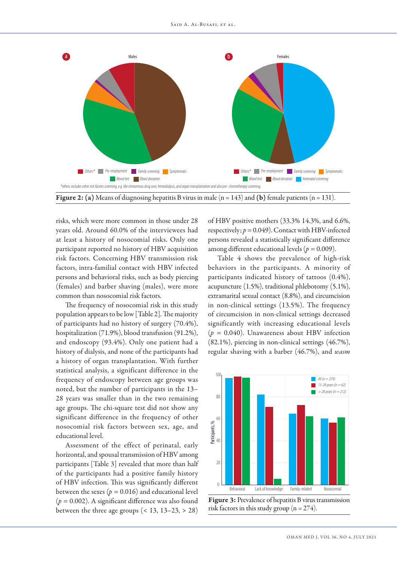

risks, which were more common in those under 28 years old. Around 60.0% of the interviewees had at least a history of nosocomial risks. Only one participant reported no history of HBV acquisition risk factors. Concerning HBV transmission risk factors, intra-familial contact with HBV infected persons and behavioral risks, such as body piercing (females) and barber shaving (males), were more common than nosocomial risk factors.

The frequency of nosocomial risk in this study population appears to be low [Table 2]. The majority of participants had no history of surgery (70.4%), hospitalization (71.9%), blood transfusion (91.2%), and endoscopy (93.4%). Only one patient had a history of dialysis, and none of the participants had a history of organ transplantation. With further statistical analysis, a significant difference in the frequency of endoscopy between age groups was noted, but the number of participants in the 13– 28 years was smaller than in the two remaining age groups. The chi-square test did not show any significant difference in the frequency of other nosocomial risk factors between sex, age, and educational level.

Assessment of the effect of perinatal, early horizontal, and spousal transmission of HBV among participants [Table 3] revealed that more than half of the participants had a positive family history of HBV infection. This was significantly different between the sexes ( $p = 0.016$ ) and educational level  $(p = 0.002)$ . A significant difference was also found between the three age groups  $($  < 13, 13–23, > 28) of HBV positive mothers (33.3% 14.3%, and 6.6%, respectively;  $p = 0.049$ ). Contact with HBV-infected persons revealed a statistically significant difference among different educational levels (*p =* 0.009).

Table 4 shows the prevalence of high-risk behaviors in the participants. A minority of participants indicated history of tattoos (0.4%), acupuncture (1.5%), traditional phlebotomy (5.1%), extramarital sexual contact (8.8%), and circumcision in non-clinical settings (13.5%). The frequency of circumcision in non-clinical settings decreased significantly with increasing educational levels (*p =* 0.040). Unawareness about HBV infection (82.1%), piercing in non-clinical settings (46.7%), regular shaving with a barber (46.7%), and *wasm*



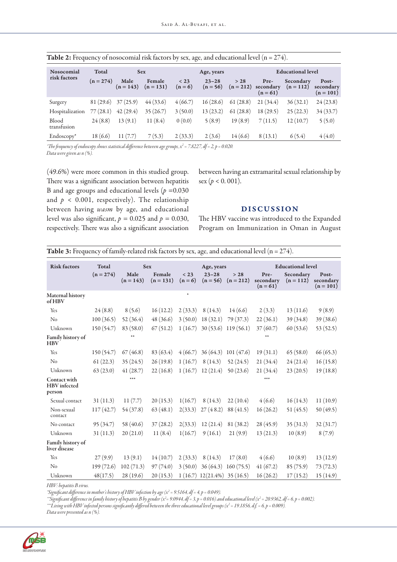| Nosocomial<br>risk factors | Total       |                     | <b>Sex</b>            |                 | Age, years              |                     | <b>Educational level</b>        |                          |                                   |
|----------------------------|-------------|---------------------|-----------------------|-----------------|-------------------------|---------------------|---------------------------------|--------------------------|-----------------------------------|
|                            | $(n = 274)$ | Male<br>$(n = 143)$ | Female<br>$(n = 131)$ | < 23<br>$(n=6)$ | $23 - 28$<br>$(n = 56)$ | > 28<br>$(n = 212)$ | Pre-<br>secondary<br>$(n = 61)$ | Secondary<br>$(n = 112)$ | Post-<br>secondary<br>$(n = 101)$ |
| Surgery                    | 81 (29.6)   | 37(25.9)            | 44(33.6)              | 4(66.7)         | 16(28.6)                | 61(28.8)            | 21(34.4)                        | 36(32.1)                 | 24(23.8)                          |
| Hospitalization            | (28.1)      | 42(29.4)            | 35(26.7)              | 3(50.0)         | 13(23.2)                | 61(28.8)            | 18(29.5)                        | 25(22.3)                 | 34(33.7)                          |
| Blood<br>transfusion       | 24(8.8)     | 13(9.1)             | 11(8.4)               | 0(0.0)          | 5(8.9)                  | 19(8.9)             | 7(11.5)                         | 12(10.7)                 | 5(5.0)                            |
| Endoscopy*                 | 18 (6.6)    | 11(7.7)             | 7(5.3)                | 2(33.3)         | 2(3.6)                  | 14(6.6)             | 8(13.1)                         | 6(5.4)                   | 4(4.0)                            |

| Table 2: Frequency of nosocomial risk factors by sex, age, and educational level ( $n = 274$ ). |  |  |  |
|-------------------------------------------------------------------------------------------------|--|--|--|
|-------------------------------------------------------------------------------------------------|--|--|--|

*\*The frequency of endoscopy shows statistical difference between age groups, x2 = 7.8227, df = 2, p = 0.020. Data were given as n (%).*

(49.6%) were more common in this studied group. There was a significant association between hepatitis B and age groups and educational levels  $(p = 0.030)$ and  $p < 0.001$ , respectively). The relationship between having *wasm* by age, and educational level was also significant,  $p = 0.025$  and  $p = 0.030$ , respectively. There was also a significant association between having an extramarital sexual relationship by sex ( $p < 0.001$ ).

## DISCUSSION

The HBV vaccine was introduced to the Expanded Program on Immunization in Oman in August

| <b>Table 3:</b> Frequency of family-related risk factors by sex, age, and educational level ( $n = 274$ ). |  |  |
|------------------------------------------------------------------------------------------------------------|--|--|
|------------------------------------------------------------------------------------------------------------|--|--|

| <b>Risk factors</b>                    | Total<br>$(n = 274)$ | <b>Sex</b><br>Male | Female      | < 23      | Age, years<br>$23 - 28$       | $>28$       | Pre-                    | <b>Educational level</b><br>Secondary | Post-                    |
|----------------------------------------|----------------------|--------------------|-------------|-----------|-------------------------------|-------------|-------------------------|---------------------------------------|--------------------------|
|                                        |                      | $(n = 143)$        | $(n = 131)$ | $(n = 6)$ | $(n = 56)$                    | $(n = 212)$ | secondary<br>$(n = 61)$ | $(n = 112)$                           | secondary<br>$(n = 101)$ |
| Maternal history<br>of HBV             |                      |                    |             | $\ast$    |                               |             |                         |                                       |                          |
| Yes                                    | 24(8.8)              | 8(5.6)             | 16(12.2)    | 2(33.3)   | 8(14.3)                       | 14(6.6)     | 2(3.3)                  | 13(11.6)                              | 9(8.9)                   |
| No                                     | 100(36.5)            | 52(36.4)           | 48(36.6)    | 3(50.0)   | 18(32.1)                      | 79 (37.3)   | 22(36.1)                | 39 (34.8)                             | 39 (38.6)                |
| Unknown                                | 150(54.7)            | 83 (58.0)          | 67(51.2)    | 1(16.7)   | 30(53.6)                      | 119(56.1)   | 37(60.7)                | 60(53.6)                              | 53(52.5)                 |
| Family history of<br><b>HBV</b>        |                      | $***$              |             |           |                               |             | **                      |                                       |                          |
| Yes                                    | 150 (54.7)           | 67(46.8)           | 83 (63.4)   | 4(66.7)   | 36(64.3)                      | 101(47.6)   | 19(31.1)                | 65(58.0)                              | 66(65.3)                 |
| No                                     | 61(22.3)             | 35(24.5)           | 26(19.8)    | 1(16.7)   | 8(14.3)                       | 52(24.5)    | 21(34.4)                | 24(21.4)                              | 16(15.8)                 |
| Unknown                                | 63(23.0)             | 41(28.7)           | 22(16.8)    | 1(16.7)   | 12(21.4)                      | 50(23.6)    | 21(34.4)                | 23(20.5)                              | 19(18.8)                 |
| Contact with<br>HBV infected<br>person |                      | $***$              |             |           |                               |             | ***                     |                                       |                          |
| Sexual contact                         | 31(11.3)             | 11(7.7)            | 20(15.3)    | 1(16.7)   | 8(14.3)                       | 22(10.4)    | 4(6.6)                  | 16(14.3)                              | 11(10.9)                 |
| Non-sexual<br>contact                  | 117(42.7)            | 54 (37.8)          | 63(48.1)    | 2(33.3)   | 27(48.2)                      | 88 (41.5)   | 16(26.2)                | 51(45.5)                              | 50(49.5)                 |
| No contact                             | 95(34.7)             | 58 (40.6)          | 37(28.2)    | 2(33.3)   | 12(21.4)                      | 81 (38.2)   | 28(45.9)                | 35(31.3)                              | 32(31.7)                 |
| Unknown                                | 31(11.3)             | 20(21.0)           | 11(8.4)     | 1(16.7)   | 9(16.1)                       | 21(9.9)     | 13(21.3)                | 10(8.9)                               | 8(7.9)                   |
| Family history of<br>liver disease     |                      |                    |             |           |                               |             |                         |                                       |                          |
| Yes                                    | 27(9.9)              | 13(9.1)            | 14(10.7)    | 2(33.3)   | 8(14.3)                       | 17(8.0)     | 4(6.6)                  | 10(8.9)                               | 13(12.9)                 |
| No                                     | 199(72.6)            | 102(71.3)          | 97(74.0)    | 3(50.0)   | 36(64.3)                      | 160(75.5)   | 41(67.2)                | 85(75.9)                              | 73(72.3)                 |
| Unknown                                | 48(17.5)             | 28 (19.6)          | 20(15.3)    |           | $1(16.7) 12(21.4\%) 35(16.5)$ |             | 16(26.2)                | 17(15.2)                              | 15(14.9)                 |

*HBV: hepatitis B virus.*

*\*Significant difference in mother's history of HBV infection by age (x<sup>2</sup> = 9.5164, df = 4, p = 0.049).* 

*\*\*Significant difference in family history of hepatitis B by gender (x2 = 9.0944, df = 3, p = 0.016) and educational level (x2 = 20.9362, df = 6, p = 0.002).*

*\*\*\*Living with HBV infected persons significantly differed between the three educational level groups (x2 = 19.1856, d.f. = 6, p = 0.009).*

*Data were presented as n (%).*

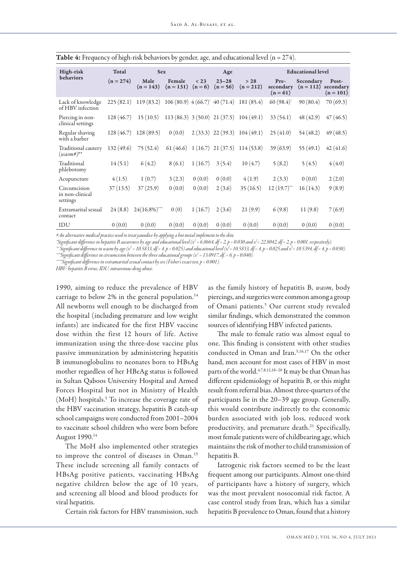| High-risk                                   | Total       | Age                 |                                             |                 | <b>Educational level</b> |                     |                                 |                          |                                   |
|---------------------------------------------|-------------|---------------------|---------------------------------------------|-----------------|--------------------------|---------------------|---------------------------------|--------------------------|-----------------------------------|
| behaviors                                   | $(n = 274)$ | Male<br>$(n = 143)$ | Female<br>$(n = 131)$                       | < 23<br>$(n=6)$ | $23 - 28$<br>$(n = 56)$  | > 28<br>$(n = 212)$ | Pre-<br>secondary<br>$(n = 61)$ | Secondary<br>$(n = 112)$ | Post-<br>secondary<br>$(n = 101)$ |
| Lack of knowledge<br>of HBV infection       | 225(82.1)   | 119(83.2)           | $106(80.9)$ 4 (66.7) <sup>*</sup> 40 (71.4) |                 |                          | 181 (85.4)          | 60(98.4)                        | 90(80.4)                 | 70(69.3)                          |
| Piercing in non-<br>clinical settings       | 128(46.7)   | 15(10.5)            | $113(86.3)$ 3(50.0) 21(37.5)                |                 |                          | 104(49.1)           | 33 (54.1)                       | 48(42.9)                 | 47(46.5)                          |
| Regular shaving<br>with a barber            | 128(46.7)   | 128(89.5)           | 0(0.0)                                      |                 | $2(33.3)$ 22 (39.3)      | 104(49.1)           | 25(41.0)                        | 54 (48.2)                | 49(48.5)                          |
| Traditional cautery<br>$(wasm#)^{**}$       | 132 (49.6)  | 75(52.4)            | 61 (46.6)                                   |                 | $1(16.7)$ 21 $(37.5)$    | 114(53.8)           | 39(63.9)                        | 55(49.1)                 | 42(41.6)                          |
| Traditional<br>phlebotomy                   | 14(5.1)     | 6(4.2)              | 8(6.1)                                      | 1(16.7)         | 3(5.4)                   | 10(4.7)             | 5(8.2)                          | 5(4.5)                   | 4(4.0)                            |
| Acupuncture                                 | 4(1.5)      | 1(0.7)              | 3(2.3)                                      | 0(0.0)          | 0(0.0)                   | 4(1.9)              | 2(3.3)                          | 0(0.0)                   | 2(2.0)                            |
| Circumcision<br>in non-clinical<br>settings | 37(13.5)    | 37(25.9)            | 0(0.0)                                      | 0(0.0)          | 2(3.6)                   | 35(16.5)            | $12(19.7)$ <sup>***</sup>       | 16(14.3)                 | 9(8.9)                            |
| Extramarital sexual<br>contact              | 24(8.8)     | $24(16.8\%)$        | 0(0)                                        | 1(16.7)         | 2(3.6)                   | 21(9.9)             | 6(9.8)                          | 11(9.8)                  | 7(6.9)                            |
| IDU                                         | 0(0.0)      | 0(0.0)              | 0(0.0)                                      | 0(0.0)          | 0(0.0)                   | 0(0.0)              | 0(0.0)                          | 0(0.0)                   | 0(0.0)                            |

| <b>Table 4:</b> Frequency of high-risk behaviors by gender, age, and educational level $(n = 274)$ . |  |  |  |
|------------------------------------------------------------------------------------------------------|--|--|--|
|------------------------------------------------------------------------------------------------------|--|--|--|

*#An alternative medical practice used to treat jaundice by applying a hot metal implement to the skin.*

*\*Significant difference in hepatitis B awareness by age and educational level (x2 = 6.8664, df = 2, p = 0.030 and x2 = 22.8042, df = 2, p < 0.001, respectively).*

*\*\* Significant difference in wasm by age (x2 = 10.5833, df = 4, p = 0.025) and educational level (x2 = 10.5833, df = 4, p = 0.025 and x2 = 10.5394, df = 4, p = 0.030). \*\*\*Significant difference in circumcision between the three educational groups (x2 = 13.0917, df. = 6, p = 0.040).*

*\*\*\*\*Significant difference in extramarital sexual contact by sex (Fisher's exact test, p < 0.001).*

*HBV: hepatitis B virus; IDU: intravenous drug abuse.*

1990, aiming to reduce the prevalence of HBV carriage to below 2% in the general population.<sup>14</sup> All newborns well enough to be discharged from the hospital (including premature and low weight infants) are indicated for the first HBV vaccine dose within the first 12 hours of life. Active immunization using the three-dose vaccine plus passive immunization by administering hepatitis B immunoglobulins to neonates born to HBsAg mother regardless of her HBeAg status is followed in Sultan Qaboos University Hospital and Armed Forces Hospital but not in Ministry of Health (MoH) hospitals.<sup>5</sup> To increase the coverage rate of the HBV vaccination strategy, hepatitis B catch-up school campaigns were conducted from 2001–2004 to vaccinate school children who were born before August 1990.14

The MoH also implemented other strategies to improve the control of diseases in Oman.15 These include screening all family contacts of HBsAg positive patients, vaccinating HBsAg negative children below the age of 10 years, and screening all blood and blood products for viral hepatitis.

Certain risk factors for HBV transmission, such

as the family history of hepatitis B, *wasm*, body piercings, and surgeries were common among a group of Omani patients.<sup>5</sup> Our current study revealed similar findings, which demonstrated the common sources of identifying HBV infected patients.

The male to female ratio was almost equal to one. This finding is consistent with other studies conducted in Oman and Iran.5,16,17 On the other hand, men account for most cases of HBV in most parts of the world.4,7,8,12,18–20 It may be that Oman has different epidemiology of hepatitis B, or this might result from referral bias. Almost three-quarters of the participants lie in the 20–39 age group. Generally, this would contribute indirectly to the economic burden associated with job loss, reduced work productivity, and premature death.<sup>21</sup> Specifically, most female patients were of childbearing age, which maintains the risk of mother to child transmission of hepatitis B.

Iatrogenic risk factors seemed to be the least frequent among our participants. Almost one-third of participants have a history of surgery, which was the most prevalent nosocomial risk factor. A case control study from Iran, which has a similar hepatitis B prevalence to Oman, found that a history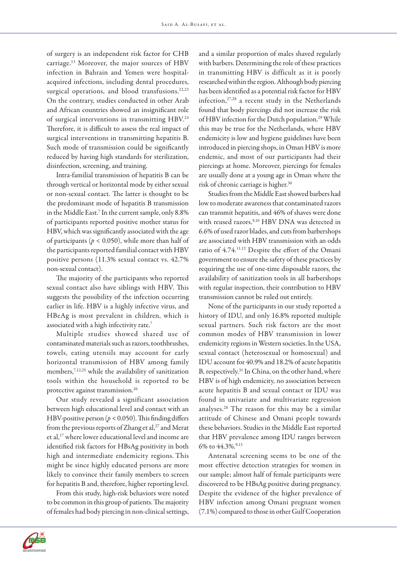of surgery is an independent risk factor for CHB carriage.13 Moreover, the major sources of HBV infection in Bahrain and Yemen were hospitalacquired infections, including dental procedures, surgical operations, and blood transfusions.<sup>22,23</sup> On the contrary, studies conducted in other Arab and African countries showed an insignificant role of surgical interventions in transmitting HBV.<sup>24</sup> Therefore, it is difficult to assess the real impact of surgical interventions in transmitting hepatitis B. Such mode of transmission could be significantly reduced by having high standards for sterilization, disinfection, screening, and training.

Intra-familial transmission of hepatitis B can be through vertical or horizontal mode by either sexual or non-sexual contact. The latter is thought to be the predominant mode of hepatitis B transmission in the Middle East.7 In the current sample, only 8.8% of participants reported positive mother status for HBV, which was significantly associated with the age of participants ( $p < 0.050$ ), while more than half of the participants reported familial contact with HBV positive persons (11.3% sexual contact vs. 42.7% non-sexual contact).

The majority of the participants who reported sexual contact also have siblings with HBV. This suggests the possibility of the infection occurring earlier in life. HBV is a highly infective virus, and HBeAg is most prevalent in children, which is associated with a high infectivity rate.7

Multiple studies showed shared use of contaminated materials such as razors, toothbrushes, towels, eating utensils may account for early horizontal transmission of HBV among family members,<sup>7,12,25</sup> while the availability of sanitization tools within the household is reported to be protective against transmission.26

Our study revealed a significant association between high educational level and contact with an HBV-positive person (*p <* 0.050). This finding differs from the previous reports of Zhang et al,<sup>27</sup> and Merat et al,17 where lower educational level and income are identified risk factors for HBsAg positivity in both high and intermediate endemicity regions. This might be since highly educated persons are more likely to convince their family members to screen for hepatitis B and, therefore, higher reporting level.

From this study, high-risk behaviors were noted to be common in this group of patients. The majority of females had body piercing in non-clinical settings, and a similar proportion of males shaved regularly with barbers. Determining the role of these practices in transmitting HBV is difficult as it is poorly researched within the region. Although body piercing has been identified as a potential risk factor for HBV infection,27,28 a recent study in the Netherlands found that body piercings did not increase the risk of HBV infection for the Dutch population.<sup>29</sup> While this may be true for the Netherlands, where HBV endemicity is low and hygiene guidelines have been introduced in piercing shops, in Oman HBV is more endemic, and most of our participants had their piercings at home. Moreover, piercings for females are usually done at a young age in Oman where the risk of chronic carriage is higher.30

Studies from the Middle East showed barbers had low to moderate awareness that contaminated razors can transmit hepatitis, and 46% of shaves were done with reused razors.<sup>9,10</sup> HBV DNA was detected in 6.6% of used razor blades, and cuts from barbershops are associated with HBV transmission with an odds ratio of 4.74.11,12 Despite the effort of the Omani government to ensure the safety of these practices by requiring the use of one-time disposable razors, the availability of sanitization tools in all barbershops with regular inspection, their contribution to HBV transmission cannot be ruled out entirely.

None of the participants in our study reported a history of IDU, and only 16.8% reported multiple sexual partners. Such risk factors are the most common modes of HBV transmission in lower endemicity regions in Western societies. In the USA, sexual contact (heterosexual or homosexual) and IDU account for 40.9% and 18.2% of acute hepatitis B, respectively.31 In China, on the other hand, where HBV is of high endemicity, no association between acute hepatitis B and sexual contact or IDU was found in univariate and multivariate regression analyses.28 The reason for this may be a similar attitude of Chinese and Omani people towards these behaviors. Studies in the Middle East reported that HBV prevalence among IDU ranges between 6% to  $44.3\%$ <sup>9,13</sup>

Antenatal screening seems to be one of the most effective detection strategies for women in our sample; almost half of female participants were discovered to be HBsAg positive during pregnancy. Despite the evidence of the higher prevalence of HBV infection among Omani pregnant women (7.1%) compared to those in other Gulf Cooperation

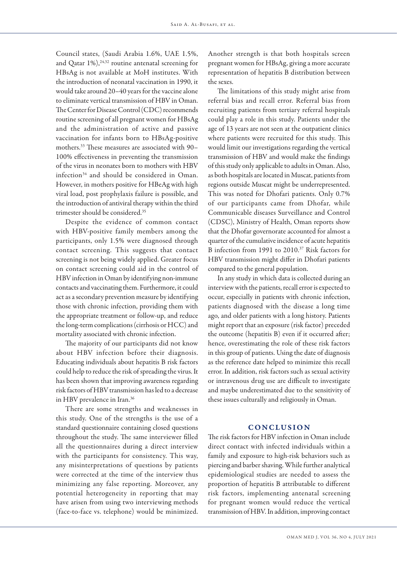Council states, (Saudi Arabia 1.6%, UAE 1.5%, and Qatar 1%),<sup>24,32</sup> routine antenatal screening for HBsAg is not available at MoH institutes. With the introduction of neonatal vaccination in 1990, it would take around 20–40 years for the vaccine alone to eliminate vertical transmission of HBV in Oman. The Center for Disease Control (CDC) recommends routine screening of all pregnant women for HBsAg and the administration of active and passive vaccination for infants born to HBsAg-positive mothers.33 These measures are associated with 90– 100% effectiveness in preventing the transmission of the virus in neonates born to mothers with HBV infection<sup>34</sup> and should be considered in Oman. However, in mothers positive for HBeAg with high viral load, post prophylaxis failure is possible, and the introduction of antiviral therapy within the third trimester should be considered.35

Despite the evidence of common contact with HBV-positive family members among the participants, only 1.5% were diagnosed through contact screening. This suggests that contact screening is not being widely applied. Greater focus on contact screening could aid in the control of HBV infection in Oman by identifying non-immune contacts and vaccinating them. Furthermore, it could act as a secondary prevention measure by identifying those with chronic infection, providing them with the appropriate treatment or follow-up, and reduce the long-term complications (cirrhosis or HCC) and mortality associated with chronic infection.

The majority of our participants did not know about HBV infection before their diagnosis. Educating individuals about hepatitis B risk factors could help to reduce the risk of spreading the virus. It has been shown that improving awareness regarding risk factors of HBV transmission has led to a decrease in HBV prevalence in Iran.36

There are some strengths and weaknesses in this study. One of the strengths is the use of a standard questionnaire containing closed questions throughout the study. The same interviewer filled all the questionnaires during a direct interview with the participants for consistency. This way, any misinterpretations of questions by patients were corrected at the time of the interview thus minimizing any false reporting. Moreover, any potential heterogeneity in reporting that may have arisen from using two interviewing methods (face-to-face vs. telephone) would be minimized. Another strength is that both hospitals screen pregnant women for HBsAg, giving a more accurate representation of hepatitis B distribution between the sexes.

The limitations of this study might arise from referral bias and recall error. Referral bias from recruiting patients from tertiary referral hospitals could play a role in this study. Patients under the age of 13 years are not seen at the outpatient clinics where patients were recruited for this study. This would limit our investigations regarding the vertical transmission of HBV and would make the findings of this study only applicable to adults in Oman. Also, as both hospitals are located in Muscat, patients from regions outside Muscat might be underrepresented. This was noted for Dhofari patients. Only 0.7% of our participants came from Dhofar, while Communicable diseases Surveillance and Control (CDSC), Ministry of Health, Oman reports show that the Dhofar governorate accounted for almost a quarter of the cumulative incidence of acute hepatitis B infection from 1991 to 2010.37 Risk factors for HBV transmission might differ in Dhofari patients compared to the general population.

In any study in which data is collected during an interview with the patients, recall error is expected to occur, especially in patients with chronic infection, patients diagnosed with the disease a long time ago, and older patients with a long history. Patients might report that an exposure (risk factor) preceded the outcome (hepatitis B) even if it occurred after; hence, overestimating the role of these risk factors in this group of patients. Using the date of diagnosis as the reference date helped to minimize this recall error. In addition, risk factors such as sexual activity or intravenous drug use are difficult to investigate and maybe underestimated due to the sensitivity of these issues culturally and religiously in Oman.

## **CONCLUSION**

The risk factors for HBV infection in Oman include direct contact with infected individuals within a family and exposure to high-risk behaviors such as piercing and barber shaving. While further analytical epidemiological studies are needed to assess the proportion of hepatitis B attributable to different risk factors, implementing antenatal screening for pregnant women would reduce the vertical transmission of HBV. In addition, improving contact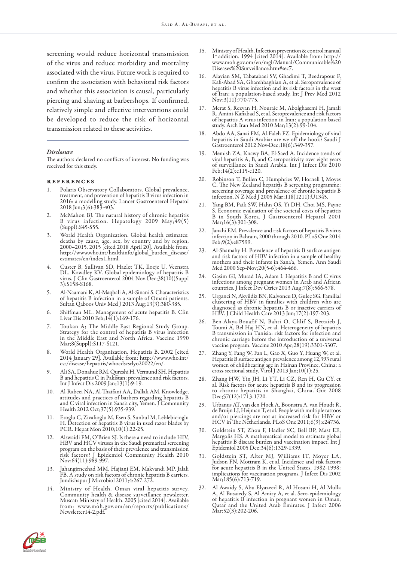screening would reduce horizontal transmission of the virus and reduce morbidity and mortality associated with the virus. Future work is required to confirm the association with behavioral risk factors and whether this association is causal, particularly piercing and shaving at barbershops. If confirmed, relatively simple and effective interventions could be developed to reduce the risk of horizontal transmission related to these activities.

#### *Disclosure*

The authors declared no conflicts of interest. No funding was received for this study.

#### references

- 1. Polaris Observatory Collaborators. Global prevalence, treatment, and prevention of hepatitis B virus infection in 2016: a modelling study. Lancet Gastroenterol Hepatol 2018 Jun;3(6):383-403.
- McMahon BJ. The natural history of chronic hepatitis B virus infection. Hepatology 2009 May; 49(5) (Suppl):S45-S55.
- World Health Organization. Global health estimates: deaths by cause, age, sex, by country and by region, 2000–2015. 2015 [cited 2018 April 20]. Available from: http://www.who.int/healthinfo/global\_burden\_disease/ estimates/en/index1.html.
- 4. Custer B, Sullivan SD, Hazlet TK, Iloeje U, Veenstra DL, Kowdley KV. Global epidemiology of hepatitis B virus. J Clin Gastroenterol 2004 Nov-Dec;38(10)(Suppl 3):S158-S168.
- 5. Al-Naamani K, Al-Maqbali A, Al-Sinani S. Characteristics of hepatitis B infection in a sample of Omani patients. Sultan Qaboos Univ Med J 2013 Aug;13(3):380-385.
- 6. Shiffman ML. Management of acute hepatitis B. Clin Liver Dis 2010 Feb;14(1):169-176.
- 7. Toukan A; The Middle East Regional Study Group. Strategy for the control of hepatitis B virus infection in the Middle East and North Africa. Vaccine 1990 Mar;8(Suppl):S117-S121.
- World Health Organization. Hepatitis B. 2002 [cited 2014 January 29]. Available from: http://www.who.int/ csr/disease/hepatitis/whocdscsrlyo20022/en/.
- 9. Ali SA, Donahue RM, Qureshi H, Vermund SH. Hepatitis B and hepatitis C in Pakistan: prevalence and risk factors. Int J Infect Dis 2009 Jan;13(1):9-19.
- 10. Al-Rabeei NA, Al-Thaifani AA, Dallak AM. Knowledge, attitudes and practices of barbers regarding hepatitis B and C viral infection in Sana'a city, Yemen. J Community Health 2012 Oct;37(5):935-939.
- 11. Eroglu C, Zivalioglu M, Esen S, Sunbul M, Leblebicioglu H. Detection of hepatitis B virus in used razor blades by PCR. Hepat Mon 2010;10(1):22-25.
- Alswaidi FM, O'Brien SJ. Is there a need to include HIV, HBV and HCV viruses in the Saudi premarital screening program on the basis of their prevalence and transmission risk factors? J Epidemiol Community Health 2010 Nov;64(11):989-997.
- 13. Jahangirnezhad MM, Hajiani EM, Makvandi MP, Jalali FB. A study on risk factors of chronic hepatitis B carriers. Jundishapur J Microbiol 2011;4:267-272.
- Ministry of Health. Oman viral hepatitis survey. Community health & disease surveillance newsletter. Muscat: Ministry of Health. 2005 [cited 2014]. Available from: www.moh.gov.om/en/reports/publications/ Newsletter14-2.pdf.
- 15. Ministry of Health. Infection prevention & control manual 1st addition. 1994 [cited 2014]. Available from: http:// www.moh.gov.om/en/mgl/Manual/Communicable%20 Diseases%20Surveillance.htm#sec7.
- 16. Alavian SM, Tabatabaei SV, Ghadimi T, Beedrapour F, Kafi-Abad SA, Gharehbaghian A, et al. Seroprevalence of hepatitis B virus infection and its risk factors in the west of Iran: a population-based study. Int J Prev Med 2012 Nov;3(11):770-775.
- 17. Merat S, Rezvan H, Nouraie M, Abolghasemi H, Jamali R, Amini-Kafiabad S, et al. Seroprevalence and risk factors of hepatitis A virus infection in Iran: a population based study. Arch Iran Med 2010 Mar;13(2):99-104.
- 18. Abdo AA, Sanai FM, Al-Faleh FZ. Epidemiology of viral hepatitis in Saudi Arabia: are we off the hook? Saudi J Gastroenterol 2012 Nov-Dec;18(6):349-357.
- 19. Memish ZA, Knawy BA, El-Saed A. Incidence trends of viral hepatitis A, B, and C seropositivity over eight years of surveillance in Saudi Arabia. Int J Infect Dis 2010 Feb;14(2):e115-e120.
- 20. Robinson T, Bullen C, Humphries W, Hornell J, Moyes C. The New Zealand hepatitis B screening programme: screening coverage and prevalence of chronic hepatitis B infection. N Z Med J 2005 Mar;118(1211):U1345.
- 21. Yang BM, Paik SW, Hahn OS, Yi DH, Choi MS, Payne B in South Korea. J Gastroenterol Hepatol 2001 Mar;16(3):301-308.
- 22. Janahi EM. Prevalence and risk factors of hepatitis B virus infection in Bahrain, 2000 through 2010. PLoS One 2014 Feb;9(2):e87599.
- 23. Al-Shamahy H. Prevalence of hepatitis B surface antigen and risk factors of HBV infection in a sample of healthy mothers and their infants in Sana'a, Yemen. Ann Saudi Med 2000 Sep-Nov;20(5-6):464-466.
- 24. Gasim GI, Murad IA, Adam I. Hepatitis B and C virus infections among pregnant women in Arab and African countries. J Infect Dev Ctries 2013 Aug;7(8):566-578.
- 25. Urganci N, Akyildiz BN, Kalyoncu D, Gulec SG. Familial clustering of HBV in families with children who are diagnosed as chronic hepatitis B or inactive carriers of HBV. J Child Health Care 2013 Jun;17(2):197-203.
- 26. Ben-Alaya-Bouafif N, Bahri O, Chlif S, Bettaieb J, Toumi A, Bel Haj HN, et al. Heterogeneity of hepatitis B transmission in Tunisia: risk factors for infection and chronic carriage before the introduction of a universal vaccine program. Vaccine 2010 Apr;28(19):3301-3307.
- 27. Zhang Y, Fang W, Fan L, Gao X, Guo Y, Huang W, et al. Hepatitis B surface antigen prevalence among 12,393 rural women of childbearing age in Hainan Province, China: a cross-sectional study. Virol J 2013 Jan;10(1):25.
- 28. Zhang HW, Yin JH, Li YT, Li CZ, Ren H, Gu CY, et al. Risk factors for acute hepatitis B and its progression to chronic hepatitis in Shanghai, China. Gut 2008 Dec;57(12):1713-1720.
- 29. Urbanus AT, van den Hoek A, Boonstra A, van Houdt R, and/or piercings are not at increased risk for HBV or HCV in The Netherlands. PLoS One 2011;6(9):e24736.
- 30. Goldstein ST, Zhou F, Hadler SC, Bell BP, Mast EE, Margolis HS. A mathematical model to estimate global hepatitis B disease burden and vaccination impact. Int J Epidemiol 2005 Dec;34(6):1329-1339.
- 31. Goldstein ST, Alter MJ, Williams IT, Moyer LA, Judson FN, Mottram K, et al. Incidence and risk factors for acute hepatitis B in the United States, 1982-1998: implications for vaccination programs. J Infect Dis 2002 Mar;185(6):713-719.
- 32. Al Awaidy S, Abu-Elyazeed R, Al Hosani H, Al Mulla A, Al Busaiedy S, Al Amiry A, et al. Sero-epidemiology of hepatitis B infection in pregnant women in Oman, Qatar and the United Arab Emirates. J Infect 2006 Mar; 52(3): 202-206.